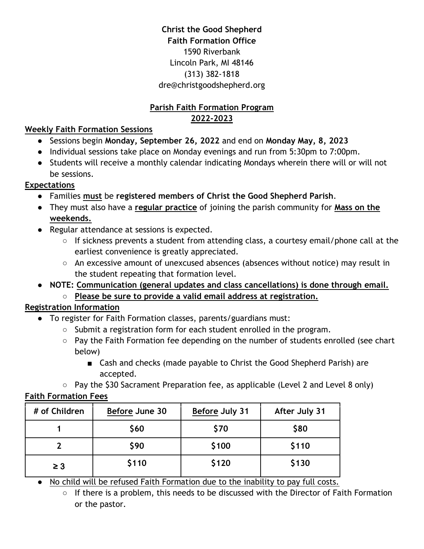## **Christ the Good Shepherd Faith Formation Office** 1590 Riverbank Lincoln Park, MI 48146 (313) 382-1818 dre@christgoodshepherd.org

## **Parish Faith Formation Program 2022-2023**

## **Weekly Faith Formation Sessions**

- Sessions begin **Monday, September 26, 2022** and end on **Monday May, 8, 2023**
- Individual sessions take place on Monday evenings and run from 5:30pm to 7:00pm.
- Students will receive a monthly calendar indicating Mondays wherein there will or will not be sessions.

## **Expectations**

- Families **must** be **registered members of Christ the Good Shepherd Parish**.
- They must also have a **regular practice** of joining the parish community for **Mass on the weekends.**
- Regular attendance at sessions is expected.
	- If sickness prevents a student from attending class, a courtesy email/phone call at the earliest convenience is greatly appreciated.
	- An excessive amount of unexcused absences (absences without notice) may result in the student repeating that formation level.
- **NOTE: Communication (general updates and class cancellations) is done through email.** ○ **Please be sure to provide a valid email address at registration.**

## **Registration Information**

- To register for Faith Formation classes, parents/guardians must:
	- Submit a registration form for each student enrolled in the program.
	- Pay the Faith Formation fee depending on the number of students enrolled (see chart below)
		- Cash and checks (made payable to Christ the Good Shepherd Parish) are accepted.
	- Pay the \$30 Sacrament Preparation fee, as applicable (Level 2 and Level 8 only)

### **Faith Formation Fees**

| # of Children     | Before June 30 | <b>Before July 31</b> | After July 31 |
|-------------------|----------------|-----------------------|---------------|
|                   | \$60           | \$70                  | \$80          |
|                   | \$90           | \$100                 | \$110         |
| \$110<br>$\geq 3$ |                | \$120                 | \$130         |

• No child will be refused Faith Formation due to the inability to pay full costs.

○ If there is a problem, this needs to be discussed with the Director of Faith Formation or the pastor.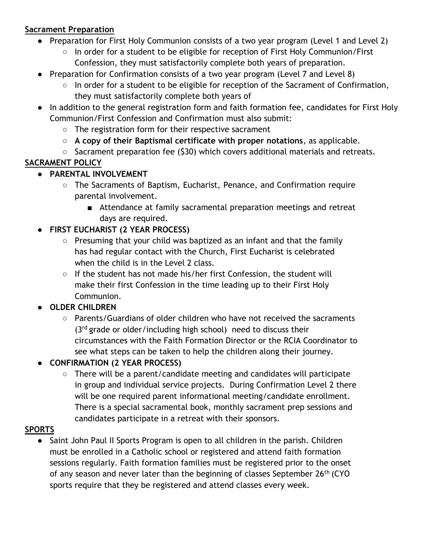#### **Sacrament Preparation**

- Preparation for First Holy Communion consists of a two year program (Level 1 and Level 2)
	- In order for a student to be eligible for reception of First Holy Communion/First Confession, they must satisfactorily complete both years of preparation.
- Preparation for Confirmation consists of a two year program (Level 7 and Level 8)
	- In order for a student to be eligible for reception of the Sacrament of Confirmation, they must satisfactorily complete both years of
- In addition to the general registration form and faith formation fee, candidates for First Holy Communion/First Confession and Confirmation must also submit:
	- The registration form for their respective sacrament
	- **A copy of their Baptismal certificate with proper notations**, as applicable.
	- Sacrament preparation fee (\$30) which covers additional materials and retreats.

# **SACRAMENT POLICY**

- **PARENTAL INVOLVEMENT**
	- The Sacraments of Baptism, Eucharist, Penance, and Confirmation require parental involvement.
		- Attendance at family sacramental preparation meetings and retreat days are required.

## ● **FIRST EUCHARIST (2 YEAR PROCESS)**

- Presuming that your child was baptized as an infant and that the family has had regular contact with the Church, First Eucharist is celebrated when the child is in the Level 2 class.
- If the student has not made his/her first Confession, the student will make their first Confession in the time leading up to their First Holy Communion.

## ● **OLDER CHILDREN**

- Parents/Guardians of older children who have not received the sacraments  $(3<sup>rd</sup>$  grade or older/including high school) need to discuss their circumstances with the Faith Formation Director or the RCIA Coordinator to see what steps can be taken to help the children along their journey.
- **CONFIRMATION (2 YEAR PROCESS)**
	- There will be a parent/candidate meeting and candidates will participate in group and individual service projects. During Confirmation Level 2 there will be one required parent informational meeting/candidate enrollment. There is a special sacramental book, monthly sacrament prep sessions and candidates participate in a retreat with their sponsors.

### **SPORTS**

Saint John Paul II Sports Program is open to all children in the parish. Children must be enrolled in a Catholic school or registered and attend faith formation sessions regularly. Faith formation families must be registered prior to the onset of any season and never later than the beginning of classes September 26<sup>th</sup> (CYO sports require that they be registered and attend classes every week.